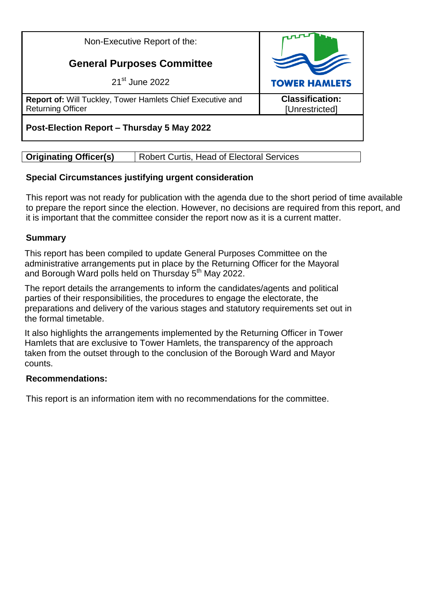Non-Executive Report of the:

# **General Purposes Committee**

21st June 2022

**Report of:** Will Tuckley, Tower Hamlets Chief Executive and Returning Officer

# **Post-Election Report – Thursday 5 May 2022**

# **Special Circumstances justifying urgent consideration**

This report was not ready for publication with the agenda due to the short period of time available to prepare the report since the election. However, no decisions are required from this report, and it is important that the committee consider the report now as it is a current matter.

# **Summary**

This report has been compiled to update General Purposes Committee on the administrative arrangements put in place by the Returning Officer for the Mayoral and Borough Ward polls held on Thursday 5<sup>th</sup> May 2022.

The report details the arrangements to inform the candidates/agents and political parties of their responsibilities, the procedures to engage the electorate, the preparations and delivery of the various stages and statutory requirements set out in the formal timetable.

It also highlights the arrangements implemented by the Returning Officer in Tower Hamlets that are exclusive to Tower Hamlets, the transparency of the approach taken from the outset through to the conclusion of the Borough Ward and Mayor counts.

## **Recommendations:**

This report is an information item with no recommendations for the committee.

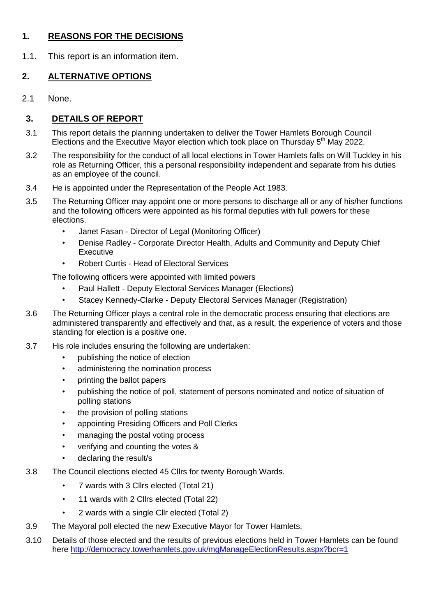# **1. REASONS FOR THE DECISIONS**

1.1. This report is an information item.

# **2. ALTERNATIVE OPTIONS**

2.1 None.

# **3. DETAILS OF REPORT**

- 3.1 This report details the planning undertaken to deliver the Tower Hamlets Borough Council Elections and the Executive Mayor election which took place on Thursday  $5<sup>th</sup>$  May 2022.
- 3.2 The responsibility for the conduct of all local elections in Tower Hamlets falls on Will Tuckley in his role as Returning Officer, this a personal responsibility independent and separate from his duties as an employee of the council.
- 3.4 He is appointed under the Representation of the People Act 1983.
- 3.5 The Returning Officer may appoint one or more persons to discharge all or any of his/her functions and the following officers were appointed as his formal deputies with full powers for these elections.
	- Janet Fasan Director of Legal (Monitoring Officer)
	- Denise Radley Corporate Director Health, Adults and Community and Deputy Chief **Executive**
	- Robert Curtis Head of Electoral Services

The following officers were appointed with limited powers

- Paul Hallett Deputy Electoral Services Manager (Elections)
- Stacey Kennedy-Clarke Deputy Electoral Services Manager (Registration)
- 3.6 The Returning Officer plays a central role in the democratic process ensuring that elections are administered transparently and effectively and that, as a result, the experience of voters and those standing for election is a positive one.
- 3.7 His role includes ensuring the following are undertaken:
	- publishing the notice of election
	- administering the nomination process
	- printing the ballot papers
	- publishing the notice of poll, statement of persons nominated and notice of situation of polling stations
	- the provision of polling stations
	- appointing Presiding Officers and Poll Clerks
	- managing the postal voting process
	- verifying and counting the votes &
	- declaring the result/s
- 3.8 The Council elections elected 45 Cllrs for twenty Borough Wards.
	- 7 wards with 3 Cllrs elected (Total 21)
	- 11 wards with 2 Cllrs elected (Total 22)
	- 2 wards with a single Cllr elected (Total 2)
- 3.9 The Mayoral poll elected the new Executive Mayor for Tower Hamlets.
- 3.10 Details of those elected and the results of previous elections held in Tower Hamlets can be found here <http://democracy.towerhamlets.gov.uk/mgManageElectionResults.aspx?bcr=1>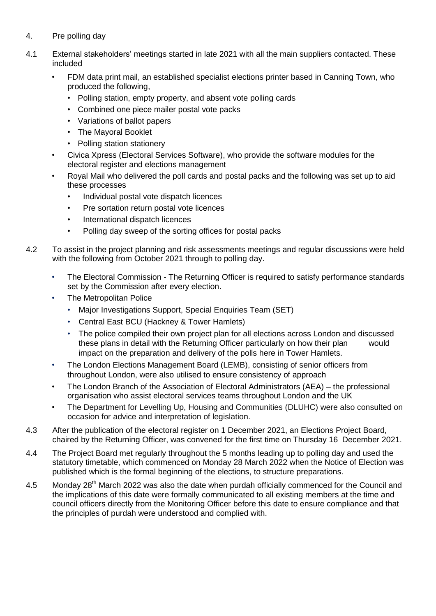- 4. Pre polling day
- 4.1 External stakeholders' meetings started in late 2021 with all the main suppliers contacted. These included
	- FDM data print mail, an established specialist elections printer based in Canning Town, who produced the following,
		- Polling station, empty property, and absent vote polling cards
		- Combined one piece mailer postal vote packs
		- Variations of ballot papers
		- The Mayoral Booklet
		- Polling station stationery
	- Civica Xpress (Electoral Services Software), who provide the software modules for the electoral register and elections management
	- Royal Mail who delivered the poll cards and postal packs and the following was set up to aid these processes
		- Individual postal vote dispatch licences
		- Pre sortation return postal vote licences
		- International dispatch licences
		- Polling day sweep of the sorting offices for postal packs
- 4.2 To assist in the project planning and risk assessments meetings and regular discussions were held with the following from October 2021 through to polling day.
	- The Electoral Commission The Returning Officer is required to satisfy performance standards set by the Commission after every election.
	- The Metropolitan Police
		- Major Investigations Support, Special Enquiries Team (SET)
		- Central East BCU (Hackney & Tower Hamlets)
		- The police compiled their own project plan for all elections across London and discussed these plans in detail with the Returning Officer particularly on how their plan would impact on the preparation and delivery of the polls here in Tower Hamlets.
	- The London Elections Management Board (LEMB), consisting of senior officers from throughout London, were also utilised to ensure consistency of approach
	- The London Branch of the Association of Electoral Administrators (AEA) the professional organisation who assist electoral services teams throughout London and the UK
	- The Department for Levelling Up, Housing and Communities (DLUHC) were also consulted on occasion for advice and interpretation of legislation.
- 4.3 After the publication of the electoral register on 1 December 2021, an Elections Project Board, chaired by the Returning Officer, was convened for the first time on Thursday 16 December 2021.
- 4.4 The Project Board met regularly throughout the 5 months leading up to polling day and used the statutory timetable, which commenced on Monday 28 March 2022 when the Notice of Election was published which is the formal beginning of the elections, to structure preparations.
- 4.5 Monday  $28<sup>th</sup>$  March 2022 was also the date when purdah officially commenced for the Council and the implications of this date were formally communicated to all existing members at the time and council officers directly from the Monitoring Officer before this date to ensure compliance and that the principles of purdah were understood and complied with.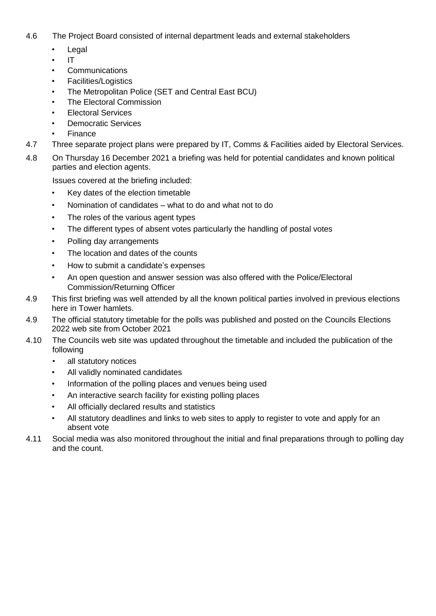- 4.6 The Project Board consisted of internal department leads and external stakeholders
	- Legal
	- IT
	- Communications
	- Facilities/Logistics
	- The Metropolitan Police (SET and Central East BCU)
	- The Electoral Commission
	- Electoral Services
	- Democratic Services
	- Finance
- 4.7 Three separate project plans were prepared by IT, Comms & Facilities aided by Electoral Services.
- 4.8 On Thursday 16 December 2021 a briefing was held for potential candidates and known political parties and election agents.

Issues covered at the briefing included:

- Key dates of the election timetable
- Nomination of candidates what to do and what not to do
- The roles of the various agent types
- The different types of absent votes particularly the handling of postal votes
- Polling day arrangements
- The location and dates of the counts
- How to submit a candidate's expenses
- An open question and answer session was also offered with the Police/Electoral Commission/Returning Officer
- 4.9 This first briefing was well attended by all the known political parties involved in previous elections here in Tower hamlets.
- 4.9 The official statutory timetable for the polls was published and posted on the Councils Elections 2022 web site from October 2021
- 4.10 The Councils web site was updated throughout the timetable and included the publication of the following
	- all statutory notices
	- All validly nominated candidates
	- Information of the polling places and venues being used
	- An interactive search facility for existing polling places
	- All officially declared results and statistics
	- All statutory deadlines and links to web sites to apply to register to vote and apply for an absent vote
- 4.11 Social media was also monitored throughout the initial and final preparations through to polling day and the count.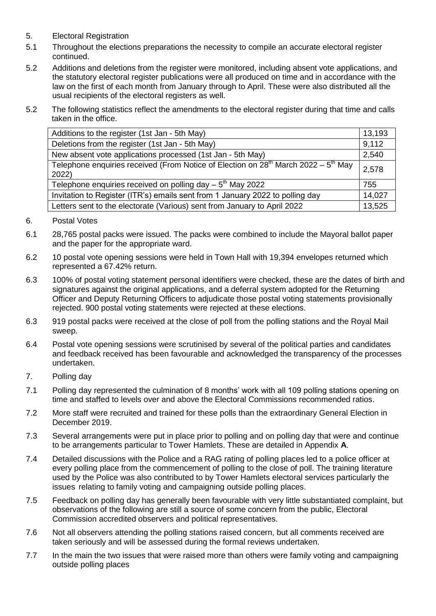- 5. Electoral Registration
- 5.1 Throughout the elections preparations the necessity to compile an accurate electoral register continued.
- 5.2 Additions and deletions from the register were monitored, including absent vote applications, and the statutory electoral register publications were all produced on time and in accordance with the law on the first of each month from January through to April. These were also distributed all the usual recipients of the electoral registers as well.
- 5.2 The following statistics reflect the amendments to the electoral register during that time and calls taken in the office.

| Additions to the register (1st Jan - 5th May)                                                         | 13,193 |
|-------------------------------------------------------------------------------------------------------|--------|
| Deletions from the register (1st Jan - 5th May)                                                       | 9,112  |
| New absent vote applications processed (1st Jan - 5th May)                                            | 2,540  |
| Telephone enquiries received (From Notice of Election on $28^{th}$ March $2022 - 5^{th}$ May<br>2022) | 2,578  |
| Telephone enquiries received on polling day $-5th$ May 2022                                           | 755    |
| Invitation to Register (ITR's) emails sent from 1 January 2022 to polling day                         | 14,027 |
| Letters sent to the electorate (Various) sent from January to April 2022                              | 13,525 |

- 6. Postal Votes
- 6.1 28,765 postal packs were issued. The packs were combined to include the Mayoral ballot paper and the paper for the appropriate ward.
- 6.2 10 postal vote opening sessions were held in Town Hall with 19,394 envelopes returned which represented a 67.42% return.
- 6.3 100% of postal voting statement personal identifiers were checked, these are the dates of birth and signatures against the original applications, and a deferral system adopted for the Returning Officer and Deputy Returning Officers to adjudicate those postal voting statements provisionally rejected. 900 postal voting statements were rejected at these elections.
- 6.3 919 postal packs were received at the close of poll from the polling stations and the Royal Mail sweep.
- 6.4 Postal vote opening sessions were scrutinised by several of the political parties and candidates and feedback received has been favourable and acknowledged the transparency of the processes undertaken.
- 7. Polling day
- 7.1 Polling day represented the culmination of 8 months' work with all 109 polling stations opening on time and staffed to levels over and above the Electoral Commissions recommended ratios.
- 7.2 More staff were recruited and trained for these polls than the extraordinary General Election in December 2019.
- 7.3 Several arrangements were put in place prior to polling and on polling day that were and continue to be arrangements particular to Tower Hamlets. These are detailed in Appendix **A**.
- 7.4 Detailed discussions with the Police and a RAG rating of polling places led to a police officer at every polling place from the commencement of polling to the close of poll. The training literature used by the Police was also contributed to by Tower Hamlets electoral services particularly the issues relating to family voting and campaigning outside polling places.
- 7.5 Feedback on polling day has generally been favourable with very little substantiated complaint, but observations of the following are still a source of some concern from the public, Electoral Commission accredited observers and political representatives.
- 7.6 Not all observers attending the polling stations raised concern, but all comments received are taken seriously and will be assessed during the formal reviews undertaken.
- 7.7 In the main the two issues that were raised more than others were family voting and campaigning outside polling places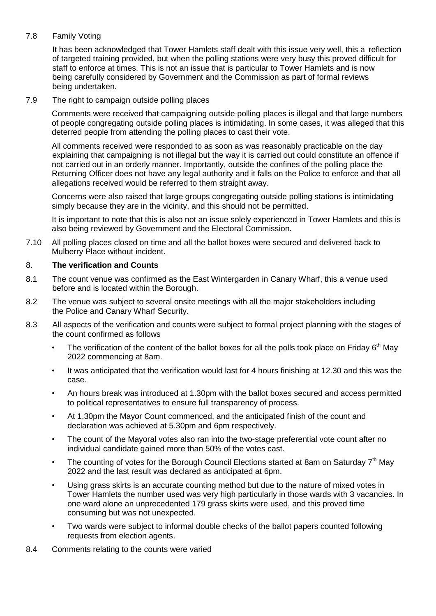## 7.8 Family Voting

It has been acknowledged that Tower Hamlets staff dealt with this issue very well, this a reflection of targeted training provided, but when the polling stations were very busy this proved difficult for staff to enforce at times. This is not an issue that is particular to Tower Hamlets and is now being carefully considered by Government and the Commission as part of formal reviews being undertaken.

#### 7.9 The right to campaign outside polling places

Comments were received that campaigning outside polling places is illegal and that large numbers of people congregating outside polling places is intimidating. In some cases, it was alleged that this deterred people from attending the polling places to cast their vote.

All comments received were responded to as soon as was reasonably practicable on the day explaining that campaigning is not illegal but the way it is carried out could constitute an offence if not carried out in an orderly manner. Importantly, outside the confines of the polling place the Returning Officer does not have any legal authority and it falls on the Police to enforce and that all allegations received would be referred to them straight away.

Concerns were also raised that large groups congregating outside polling stations is intimidating simply because they are in the vicinity, and this should not be permitted.

It is important to note that this is also not an issue solely experienced in Tower Hamlets and this is also being reviewed by Government and the Electoral Commission.

7.10 All polling places closed on time and all the ballot boxes were secured and delivered back to Mulberry Place without incident.

## 8. **The verification and Counts**

- 8.1 The count venue was confirmed as the East Wintergarden in Canary Wharf, this a venue used before and is located within the Borough.
- 8.2 The venue was subject to several onsite meetings with all the major stakeholders including the Police and Canary Wharf Security.
- 8.3 All aspects of the verification and counts were subject to formal project planning with the stages of the count confirmed as follows
	- The verification of the content of the ballot boxes for all the polls took place on Friday  $6<sup>th</sup>$  May 2022 commencing at 8am.
	- It was anticipated that the verification would last for 4 hours finishing at 12.30 and this was the case.
	- An hours break was introduced at 1.30pm with the ballot boxes secured and access permitted to political representatives to ensure full transparency of process.
	- At 1.30pm the Mayor Count commenced, and the anticipated finish of the count and declaration was achieved at 5.30pm and 6pm respectively.
	- The count of the Mayoral votes also ran into the two-stage preferential vote count after no individual candidate gained more than 50% of the votes cast.
	- The counting of votes for the Borough Council Elections started at 8am on Saturday  $7<sup>th</sup>$  May 2022 and the last result was declared as anticipated at 6pm.
	- Using grass skirts is an accurate counting method but due to the nature of mixed votes in Tower Hamlets the number used was very high particularly in those wards with 3 vacancies. In one ward alone an unprecedented 179 grass skirts were used, and this proved time consuming but was not unexpected.
	- Two wards were subject to informal double checks of the ballot papers counted following requests from election agents.
- 8.4 Comments relating to the counts were varied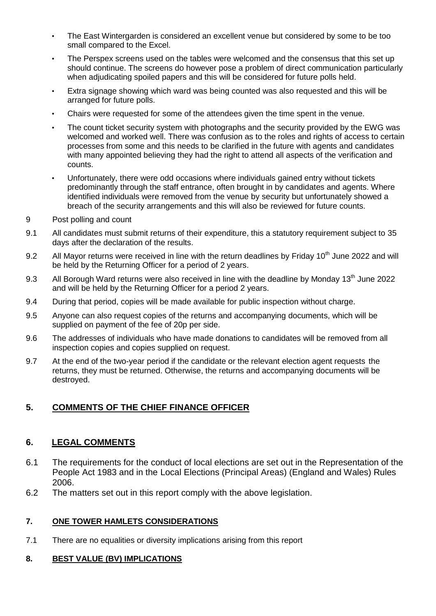- The East Wintergarden is considered an excellent venue but considered by some to be too small compared to the Excel.
- The Perspex screens used on the tables were welcomed and the consensus that this set up should continue. The screens do however pose a problem of direct communication particularly when adjudicating spoiled papers and this will be considered for future polls held.
- Extra signage showing which ward was being counted was also requested and this will be arranged for future polls.
- Chairs were requested for some of the attendees given the time spent in the venue.
- The count ticket security system with photographs and the security provided by the EWG was welcomed and worked well. There was confusion as to the roles and rights of access to certain processes from some and this needs to be clarified in the future with agents and candidates with many appointed believing they had the right to attend all aspects of the verification and counts.
- Unfortunately, there were odd occasions where individuals gained entry without tickets predominantly through the staff entrance, often brought in by candidates and agents. Where identified individuals were removed from the venue by security but unfortunately showed a breach of the security arrangements and this will also be reviewed for future counts.
- 9 Post polling and count
- 9.1 All candidates must submit returns of their expenditure, this a statutory requirement subject to 35 days after the declaration of the results.
- 9.2 All Mayor returns were received in line with the return deadlines by Friday 10<sup>th</sup> June 2022 and will be held by the Returning Officer for a period of 2 years.
- 9.3 All Borough Ward returns were also received in line with the deadline by Monday 13<sup>th</sup> June 2022 and will be held by the Returning Officer for a period 2 years.
- 9.4 During that period, copies will be made available for public inspection without charge.
- 9.5 Anyone can also request copies of the returns and accompanying documents, which will be supplied on payment of the fee of 20p per side.
- 9.6 The addresses of individuals who have made donations to candidates will be removed from all inspection copies and copies supplied on request.
- 9.7 At the end of the two-year period if the candidate or the relevant election agent requests the returns, they must be returned. Otherwise, the returns and accompanying documents will be destroyed.

# **5. COMMENTS OF THE CHIEF FINANCE OFFICER**

## **6. LEGAL COMMENTS**

- 6.1 The requirements for the conduct of local elections are set out in the Representation of the People Act 1983 and in the Local Elections (Principal Areas) (England and Wales) Rules 2006.
- 6.2 The matters set out in this report comply with the above legislation.

#### **7. ONE TOWER HAMLETS CONSIDERATIONS**

7.1 There are no equalities or diversity implications arising from this report

#### **8. BEST VALUE (BV) IMPLICATIONS**